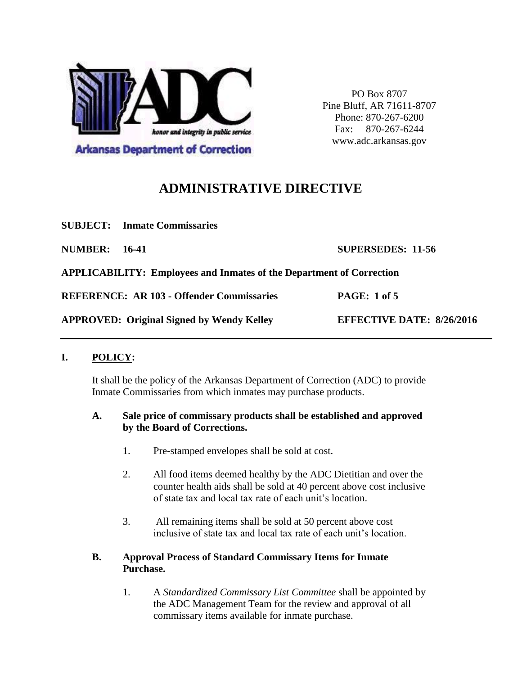

PO Box 8707 Pine Bluff, AR 71611-8707 Phone: 870-267-6200 Fax: 870-267-6244 www.adc.arkansas.gov

# **ADMINISTRATIVE DIRECTIVE**

**SUBJECT: Inmate Commissaries** 

**NUMBER: 16-41 SUPERSEDES: 11-56**

**APPLICABILITY: Employees and Inmates of the Department of Correction** 

**REFERENCE: AR 103 - Offender Commissaries PAGE: 1 of 5**

**APPROVED: Original Signed by Wendy Kelley EFFECTIVE DATE: 8/26/2016**

## **I. POLICY:**

It shall be the policy of the Arkansas Department of Correction (ADC) to provide Inmate Commissaries from which inmates may purchase products.

### **A. Sale price of commissary products shall be established and approved by the Board of Corrections.**

- 1. Pre-stamped envelopes shall be sold at cost.
- 2. All food items deemed healthy by the ADC Dietitian and over the counter health aids shall be sold at 40 percent above cost inclusive of state tax and local tax rate of each unit's location.
- 3. All remaining items shall be sold at 50 percent above cost inclusive of state tax and local tax rate of each unit's location.

### **B. Approval Process of Standard Commissary Items for Inmate Purchase.**

1. A *Standardized Commissary List Committee* shall be appointed by the ADC Management Team for the review and approval of all commissary items available for inmate purchase.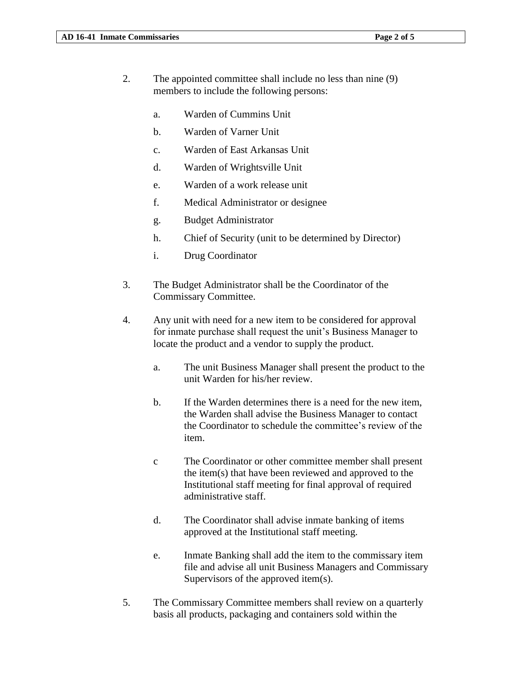- 2. The appointed committee shall include no less than nine (9) members to include the following persons:
	- a. Warden of Cummins Unit
	- b. Warden of Varner Unit
	- c. Warden of East Arkansas Unit
	- d. Warden of Wrightsville Unit
	- e. Warden of a work release unit
	- f. Medical Administrator or designee
	- g. Budget Administrator
	- h. Chief of Security (unit to be determined by Director)
	- i. Drug Coordinator
- 3. The Budget Administrator shall be the Coordinator of the Commissary Committee.
- 4. Any unit with need for a new item to be considered for approval for inmate purchase shall request the unit's Business Manager to locate the product and a vendor to supply the product.
	- a. The unit Business Manager shall present the product to the unit Warden for his/her review.
	- b. If the Warden determines there is a need for the new item, the Warden shall advise the Business Manager to contact the Coordinator to schedule the committee's review of the item.
	- c The Coordinator or other committee member shall present the item(s) that have been reviewed and approved to the Institutional staff meeting for final approval of required administrative staff.
	- d. The Coordinator shall advise inmate banking of items approved at the Institutional staff meeting.
	- e. Inmate Banking shall add the item to the commissary item file and advise all unit Business Managers and Commissary Supervisors of the approved item(s).
- 5. The Commissary Committee members shall review on a quarterly basis all products, packaging and containers sold within the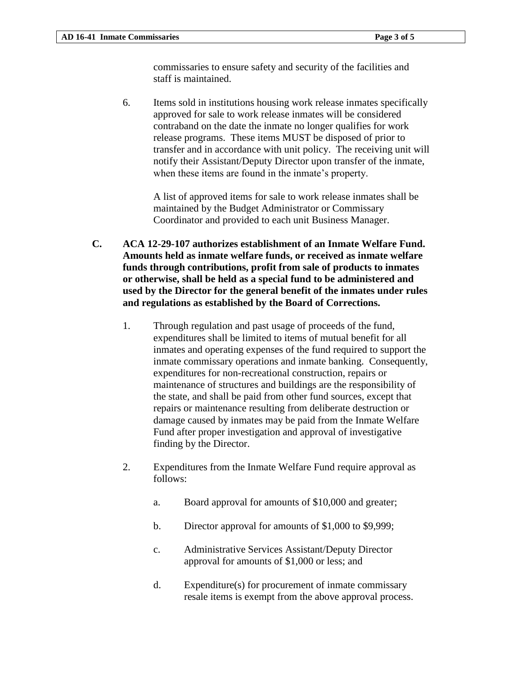commissaries to ensure safety and security of the facilities and staff is maintained.

6. Items sold in institutions housing work release inmates specifically approved for sale to work release inmates will be considered contraband on the date the inmate no longer qualifies for work release programs. These items MUST be disposed of prior to transfer and in accordance with unit policy. The receiving unit will notify their Assistant/Deputy Director upon transfer of the inmate, when these items are found in the inmate's property.

A list of approved items for sale to work release inmates shall be maintained by the Budget Administrator or Commissary Coordinator and provided to each unit Business Manager.

- **C. ACA 12-29-107 authorizes establishment of an Inmate Welfare Fund. Amounts held as inmate welfare funds, or received as inmate welfare funds through contributions, profit from sale of products to inmates or otherwise, shall be held as a special fund to be administered and used by the Director for the general benefit of the inmates under rules and regulations as established by the Board of Corrections.**
	- 1. Through regulation and past usage of proceeds of the fund, expenditures shall be limited to items of mutual benefit for all inmates and operating expenses of the fund required to support the inmate commissary operations and inmate banking. Consequently, expenditures for non-recreational construction, repairs or maintenance of structures and buildings are the responsibility of the state, and shall be paid from other fund sources, except that repairs or maintenance resulting from deliberate destruction or damage caused by inmates may be paid from the Inmate Welfare Fund after proper investigation and approval of investigative finding by the Director.
	- 2. Expenditures from the Inmate Welfare Fund require approval as follows:
		- a. Board approval for amounts of \$10,000 and greater;
		- b. Director approval for amounts of \$1,000 to \$9,999;
		- c. Administrative Services Assistant/Deputy Director approval for amounts of \$1,000 or less; and
		- d. Expenditure(s) for procurement of inmate commissary resale items is exempt from the above approval process.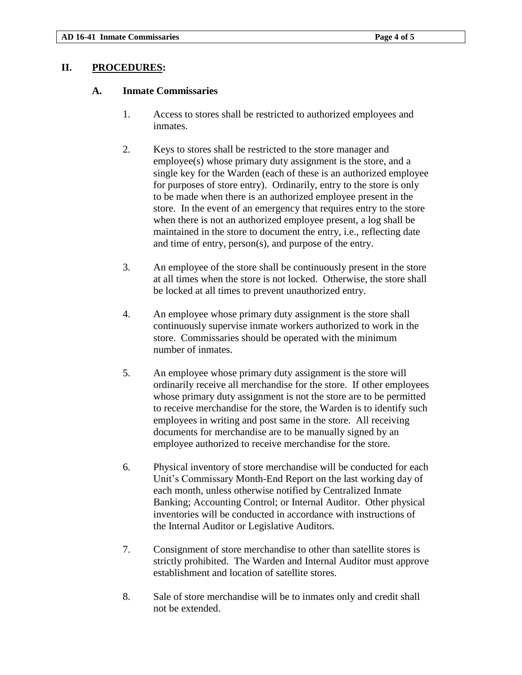#### **II. PROCEDURES:**

#### **A. Inmate Commissaries**

- 1. Access to stores shall be restricted to authorized employees and inmates.
- 2. Keys to stores shall be restricted to the store manager and employee(s) whose primary duty assignment is the store, and a single key for the Warden (each of these is an authorized employee for purposes of store entry). Ordinarily, entry to the store is only to be made when there is an authorized employee present in the store. In the event of an emergency that requires entry to the store when there is not an authorized employee present, a log shall be maintained in the store to document the entry, i.e., reflecting date and time of entry, person(s), and purpose of the entry.
- 3. An employee of the store shall be continuously present in the store at all times when the store is not locked. Otherwise, the store shall be locked at all times to prevent unauthorized entry.
- 4. An employee whose primary duty assignment is the store shall continuously supervise inmate workers authorized to work in the store. Commissaries should be operated with the minimum number of inmates.
- 5. An employee whose primary duty assignment is the store will ordinarily receive all merchandise for the store. If other employees whose primary duty assignment is not the store are to be permitted to receive merchandise for the store, the Warden is to identify such employees in writing and post same in the store. All receiving documents for merchandise are to be manually signed by an employee authorized to receive merchandise for the store.
- 6. Physical inventory of store merchandise will be conducted for each Unit's Commissary Month-End Report on the last working day of each month, unless otherwise notified by Centralized Inmate Banking; Accounting Control; or Internal Auditor. Other physical inventories will be conducted in accordance with instructions of the Internal Auditor or Legislative Auditors.
- 7. Consignment of store merchandise to other than satellite stores is strictly prohibited. The Warden and Internal Auditor must approve establishment and location of satellite stores.
- 8. Sale of store merchandise will be to inmates only and credit shall not be extended.